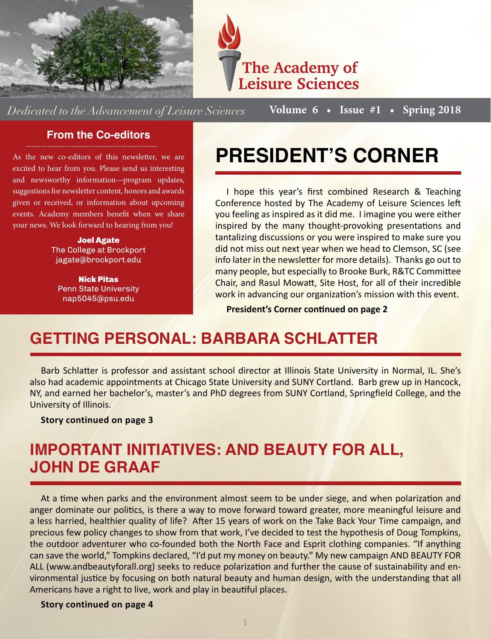



*Dedicated to the Advancement of Leisure Sciences*

**Volume 6 • Issue #1 • Spring 2018**

#### **From the Co-editors**

As the new co-editors of this newsletter, we are excited to hear from you. Please send us interesting and newsworthy information—program updates, suggestions for newsletter content, honors and awards given or received, or information about upcoming events. Academy members benefit when we share your news. We look forward to hearing from you!

> Joel Agate The College at Brockport jagate@brockport.edu

Nick Pitas Penn State University nap5045@psu.edu

## **PRESIDENT'S CORNER**

I hope this year's first combined Research & Teaching Conference hosted by The Academy of Leisure Sciences left you feeling as inspired as it did me. I imagine you were either inspired by the many thought-provoking presentations and tantalizing discussions or you were inspired to make sure you did not miss out next year when we head to Clemson, SC (see info later in the newsletter for more details). Thanks go out to many people, but especially to Brooke Burk, R&TC Committee Chair, and Rasul Mowatt, Site Host, for all of their incredible work in advancing our organization's mission with this event.

**President's Corner continued on page 2**

## **GETTING PERSONAL: BARBARA SCHLATTER**

Barb Schlatter is professor and assistant school director at Illinois State University in Normal, IL. She's also had academic appointments at Chicago State University and SUNY Cortland. Barb grew up in Hancock, NY, and earned her bachelor's, master's and PhD degrees from SUNY Cortland, Springfield College, and the University of Illinois.

**Story continued on page 3**

## **IMPORTANT INITIATIVES: AND BEAUTY FOR ALL, JOHN DE GRAAF**

At a time when parks and the environment almost seem to be under siege, and when polarization and anger dominate our politics, is there a way to move forward toward greater, more meaningful leisure and a less harried, healthier quality of life? After 15 years of work on the Take Back Your Time campaign, and precious few policy changes to show from that work, I've decided to test the hypothesis of Doug Tompkins, the outdoor adventurer who co-founded both the North Face and Esprit clothing companies. "If anything can save the world," Tompkins declared, "I'd put my money on beauty." My new campaign AND BEAUTY FOR ALL (www.andbeautyforall.org) seeks to reduce polarization and further the cause of sustainability and environmental justice by focusing on both natural beauty and human design, with the understanding that all Americans have a right to live, work and play in beautiful places.

**Story continued on page 4**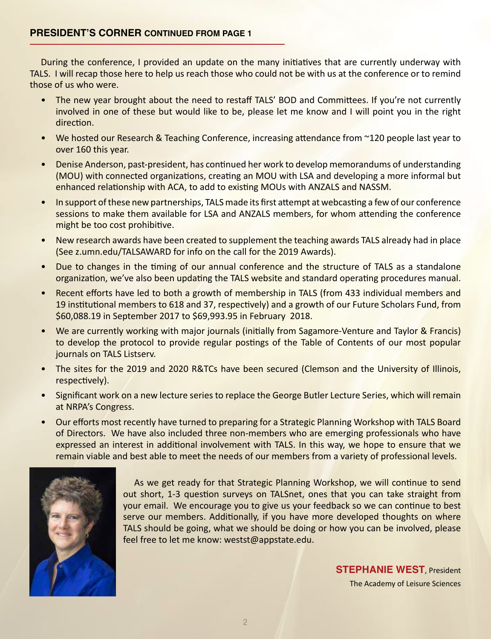#### **PRESIDENT'S CORNER CONTINUED FROM PAGE 1**

During the conference, I provided an update on the many initiatives that are currently underway with TALS. I will recap those here to help us reach those who could not be with us at the conference or to remind those of us who were.

- The new year brought about the need to restaff TALS' BOD and Committees. If you're not currently involved in one of these but would like to be, please let me know and I will point you in the right direction.
- We hosted our Research & Teaching Conference, increasing attendance from ~120 people last year to over 160 this year.
- Denise Anderson, past-president, has continued her work to develop memorandums of understanding (MOU) with connected organizations, creating an MOU with LSA and developing a more informal but enhanced relationship with ACA, to add to existing MOUs with ANZALS and NASSM.
- In support of these new partnerships, TALS made its first attempt at webcasting a few of our conference sessions to make them available for LSA and ANZALS members, for whom attending the conference might be too cost prohibitive.
- New research awards have been created to supplement the teaching awards TALS already had in place (See z.umn.edu/TALSAWARD for info on the call for the 2019 Awards).
- Due to changes in the timing of our annual conference and the structure of TALS as a standalone organization, we've also been updating the TALS website and standard operating procedures manual.
- Recent efforts have led to both a growth of membership in TALS (from 433 individual members and 19 institutional members to 618 and 37, respectively) and a growth of our Future Scholars Fund, from \$60,088.19 in September 2017 to \$69,993.95 in February 2018.
- We are currently working with major journals (initially from Sagamore-Venture and Taylor & Francis) to develop the protocol to provide regular postings of the Table of Contents of our most popular journals on TALS Listserv.
- The sites for the 2019 and 2020 R&TCs have been secured (Clemson and the University of Illinois, respectively).
- Significant work on a new lecture series to replace the George Butler Lecture Series, which will remain at NRPA's Congress.
- Our efforts most recently have turned to preparing for a Strategic Planning Workshop with TALS Board of Directors. We have also included three non-members who are emerging professionals who have expressed an interest in additional involvement with TALS. In this way, we hope to ensure that we remain viable and best able to meet the needs of our members from a variety of professional levels.



As we get ready for that Strategic Planning Workshop, we will continue to send out short, 1-3 question surveys on TALSnet, ones that you can take straight from your email. We encourage you to give us your feedback so we can continue to best serve our members. Additionally, if you have more developed thoughts on where TALS should be going, what we should be doing or how you can be involved, please feel free to let me know: westst@appstate.edu.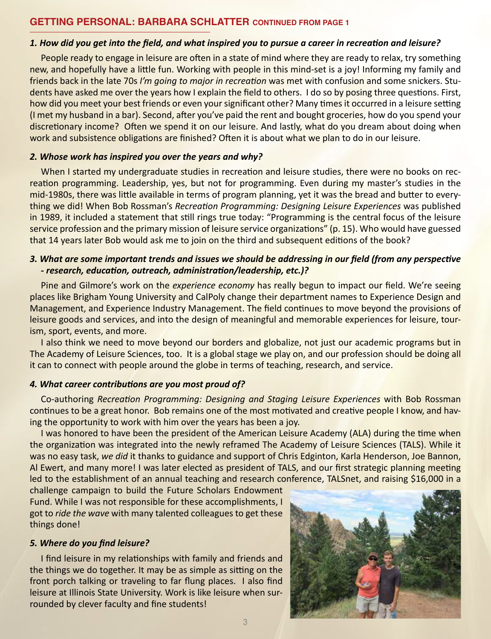#### **GETTING PERSONAL: BARBARA SCHLATTER CONTINUED FROM PAGE 1**

#### *1. How did you get into the field, and what inspired you to pursue a career in recreation and leisure?*

People ready to engage in leisure are often in a state of mind where they are ready to relax, try something new, and hopefully have a little fun. Working with people in this mind-set is a joy! Informing my family and friends back in the late 70s *I'm going to major in recreation* was met with confusion and some snickers. Students have asked me over the years how I explain the field to others. I do so by posing three questions. First, how did you meet your best friends or even your significant other? Many times it occurred in a leisure setting (I met my husband in a bar). Second, after you've paid the rent and bought groceries, how do you spend your discretionary income? Often we spend it on our leisure. And lastly, what do you dream about doing when work and subsistence obligations are finished? Often it is about what we plan to do in our leisure.

#### *2. Whose work has inspired you over the years and why?*

When I started my undergraduate studies in recreation and leisure studies, there were no books on recreation programming. Leadership, yes, but not for programming. Even during my master's studies in the mid-1980s, there was little available in terms of program planning, yet it was the bread and butter to everything we did! When Bob Rossman's *Recreation Programming: Designing Leisure Experiences* was published in 1989, it included a statement that still rings true today: "Programming is the central focus of the leisure service profession and the primary mission of leisure service organizations" (p. 15). Who would have guessed that 14 years later Bob would ask me to join on the third and subsequent editions of the book?

#### *3. What are some important trends and issues we should be addressing in our field (from any perspective - research, education, outreach, administration/leadership, etc.)?*

Pine and Gilmore's work on the *experience economy* has really begun to impact our field. We're seeing places like Brigham Young University and CalPoly change their department names to Experience Design and Management, and Experience Industry Management. The field continues to move beyond the provisions of leisure goods and services, and into the design of meaningful and memorable experiences for leisure, tourism, sport, events, and more.

I also think we need to move beyond our borders and globalize, not just our academic programs but in The Academy of Leisure Sciences, too. It is a global stage we play on, and our profession should be doing all it can to connect with people around the globe in terms of teaching, research, and service.

#### *4. What career contributions are you most proud of?*

Co-authoring *Recreation Programming: Designing and Staging Leisure Experiences* with Bob Rossman continues to be a great honor. Bob remains one of the most motivated and creative people I know, and having the opportunity to work with him over the years has been a joy.

I was honored to have been the president of the American Leisure Academy (ALA) during the time when the organization was integrated into the newly reframed The Academy of Leisure Sciences (TALS). While it was no easy task, *we did* it thanks to guidance and support of Chris Edginton, Karla Henderson, Joe Bannon, Al Ewert, and many more! I was later elected as president of TALS, and our first strategic planning meeting led to the establishment of an annual teaching and research conference, TALSnet, and raising \$16,000 in a

challenge campaign to build the Future Scholars Endowment Fund. While I was not responsible for these accomplishments, I got to *ride the wave* with many talented colleagues to get these things done!

#### *5. Where do you find leisure?*

I find leisure in my relationships with family and friends and the things we do together. It may be as simple as sitting on the front porch talking or traveling to far flung places. I also find leisure at Illinois State University. Work is like leisure when surrounded by clever faculty and fine students!

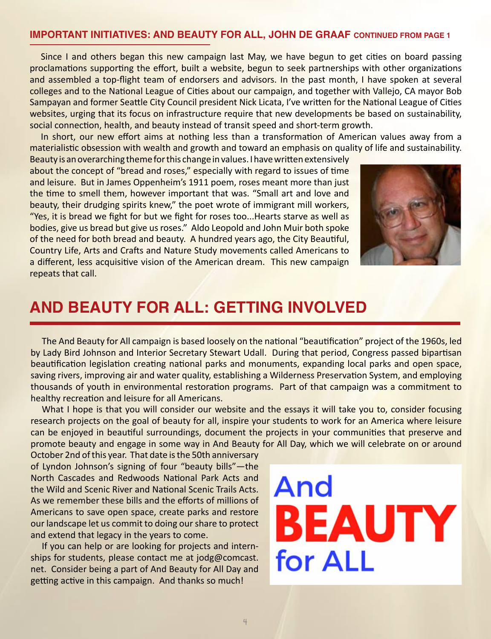#### **IMPORTANT INITIATIVES: AND BEAUTY FOR ALL, JOHN DE GRAAF CONTINUED FROM PAGE 1**

Since I and others began this new campaign last May, we have begun to get cities on board passing proclamations supporting the effort, built a website, begun to seek partnerships with other organizations and assembled a top-flight team of endorsers and advisors. In the past month, I have spoken at several colleges and to the National League of Cities about our campaign, and together with Vallejo, CA mayor Bob Sampayan and former Seattle City Council president Nick Licata, I've written for the National League of Cities websites, urging that its focus on infrastructure require that new developments be based on sustainability, social connection, health, and beauty instead of transit speed and short-term growth.

In short, our new effort aims at nothing less than a transformation of American values away from a materialistic obsession with wealth and growth and toward an emphasis on quality of life and sustainability.

Beauty is an overarching theme for this change in values. I have written extensively about the concept of "bread and roses," especially with regard to issues of time and leisure. But in James Oppenheim's 1911 poem, roses meant more than just the time to smell them, however important that was. "Small art and love and beauty, their drudging spirits knew," the poet wrote of immigrant mill workers, "Yes, it is bread we fight for but we fight for roses too...Hearts starve as well as bodies, give us bread but give us roses." Aldo Leopold and John Muir both spoke of the need for both bread and beauty. A hundred years ago, the City Beautiful, Country Life, Arts and Crafts and Nature Study movements called Americans to a different, less acquisitive vision of the American dream. This new campaign repeats that call.



### **AND BEAUTY FOR ALL: GETTING INVOLVED**

The And Beauty for All campaign is based loosely on the national "beautification" project of the 1960s, led by Lady Bird Johnson and Interior Secretary Stewart Udall. During that period, Congress passed bipartisan beautification legislation creating national parks and monuments, expanding local parks and open space, saving rivers, improving air and water quality, establishing a Wilderness Preservation System, and employing thousands of youth in environmental restoration programs. Part of that campaign was a commitment to healthy recreation and leisure for all Americans.

What I hope is that you will consider our website and the essays it will take you to, consider focusing research projects on the goal of beauty for all, inspire your students to work for an America where leisure can be enjoyed in beautiful surroundings, document the projects in your communities that preserve and promote beauty and engage in some way in And Beauty for All Day, which we will celebrate on or around

October 2nd of this year. That date is the 50th anniversary of Lyndon Johnson's signing of four "beauty bills"—the North Cascades and Redwoods National Park Acts and the Wild and Scenic River and National Scenic Trails Acts. As we remember these bills and the efforts of millions of Americans to save open space, create parks and restore our landscape let us commit to doing our share to protect and extend that legacy in the years to come.

If you can help or are looking for projects and internships for students, please contact me at jodg@comcast. net. Consider being a part of And Beauty for All Day and getting active in this campaign. And thanks so much!

# And BEAUTY for ALL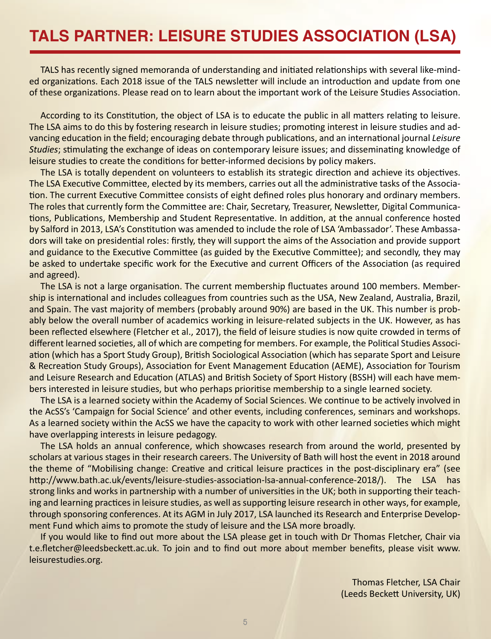TALS has recently signed memoranda of understanding and initiated relationships with several like-minded organizations. Each 2018 issue of the TALS newsletter will include an introduction and update from one of these organizations. Please read on to learn about the important work of the Leisure Studies Association.

According to its Constitution, the object of LSA is to educate the public in all matters relating to leisure. The LSA aims to do this by fostering research in leisure studies; promoting interest in leisure studies and advancing education in the field; encouraging debate through publications, and an international journal *Leisure Studies*; stimulating the exchange of ideas on contemporary leisure issues; and disseminating knowledge of leisure studies to create the conditions for better-informed decisions by policy makers.

The LSA is totally dependent on volunteers to establish its strategic direction and achieve its objectives. The LSA Executive Committee, elected by its members, carries out all the administrative tasks of the Association. The current Executive Committee consists of eight defined roles plus honorary and ordinary members. The roles that currently form the Committee are: Chair, Secretary, Treasurer, Newsletter, Digital Communications, Publications, Membership and Student Representative. In addition, at the annual conference hosted by Salford in 2013, LSA's Constitution was amended to include the role of LSA 'Ambassador'. These Ambassadors will take on presidential roles: firstly, they will support the aims of the Association and provide support and guidance to the Executive Committee (as guided by the Executive Committee); and secondly, they may be asked to undertake specific work for the Executive and current Officers of the Association (as required and agreed).

The LSA is not a large organisation. The current membership fluctuates around 100 members. Membership is international and includes colleagues from countries such as the USA, New Zealand, Australia, Brazil, and Spain. The vast majority of members (probably around 90%) are based in the UK. This number is probably below the overall number of academics working in leisure-related subjects in the UK. However, as has been reflected elsewhere (Fletcher et al., 2017), the field of leisure studies is now quite crowded in terms of different learned societies, all of which are competing for members. For example, the Political Studies Association (which has a Sport Study Group), British Sociological Association (which has separate Sport and Leisure & Recreation Study Groups), Association for Event Management Education (AEME), Association for Tourism and Leisure Research and Education (ATLAS) and British Society of Sport History (BSSH) will each have members interested in leisure studies, but who perhaps prioritise membership to a single learned society.

The LSA is a learned society within the Academy of Social Sciences. We continue to be actively involved in the AcSS's 'Campaign for Social Science' and other events, including conferences, seminars and workshops. As a learned society within the AcSS we have the capacity to work with other learned societies which might have overlapping interests in leisure pedagogy.

The LSA holds an annual conference, which showcases research from around the world, presented by scholars at various stages in their research careers. The University of Bath will host the event in 2018 around the theme of "Mobilising change: Creative and critical leisure practices in the post-disciplinary era" (see http://www.bath.ac.uk/events/leisure-studies-association-lsa-annual-conference-2018/). The LSA has strong links and works in partnership with a number of universities in the UK; both in supporting their teaching and learning practices in leisure studies, as well as supporting leisure research in other ways, for example, through sponsoring conferences. At its AGM in July 2017, LSA launched its Research and Enterprise Development Fund which aims to promote the study of leisure and the LSA more broadly.

If you would like to find out more about the LSA please get in touch with Dr Thomas Fletcher, Chair via t.e.fletcher@leedsbeckett.ac.uk. To join and to find out more about member benefits, please visit www. leisurestudies.org.

> Thomas Fletcher, LSA Chair (Leeds Beckett University, UK)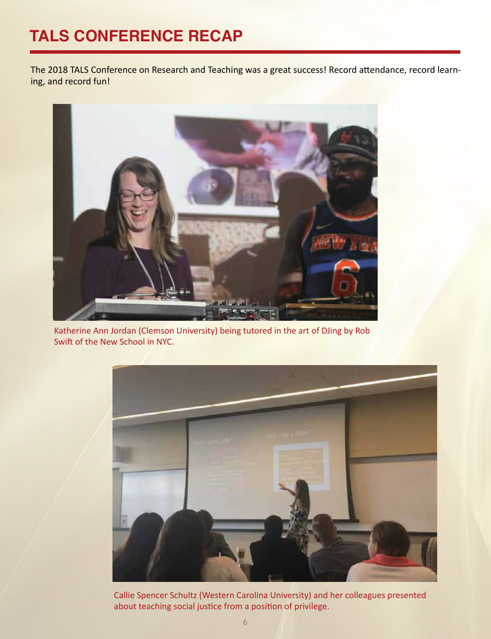## **TALS CONFERENCE RECAP**

The 2018 TALS Conference on Research and Teaching was a great success! Record attendance, record learning, and record fun!



Katherine Ann Jordan (Clemson University) being tutored in the art of DJing by Rob Swift of the New School in NYC.



Callie Spencer Schultz (Western Carolina University) and her colleagues presented about teaching social justice from a position of privilege.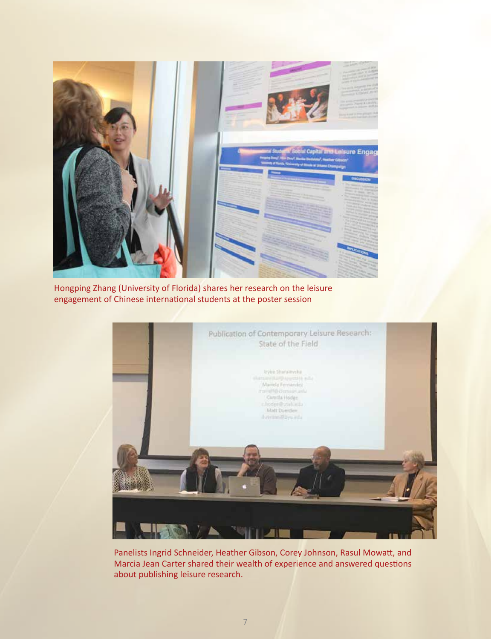

Hongping Zhang (University of Florida) shares her research on the leisure engagement of Chinese international students at the poster session



Panelists Ingrid Schneider, Heather Gibson, Corey Johnson, Rasul Mowatt, and Marcia Jean Carter shared their wealth of experience and answered questions about publishing leisure research.